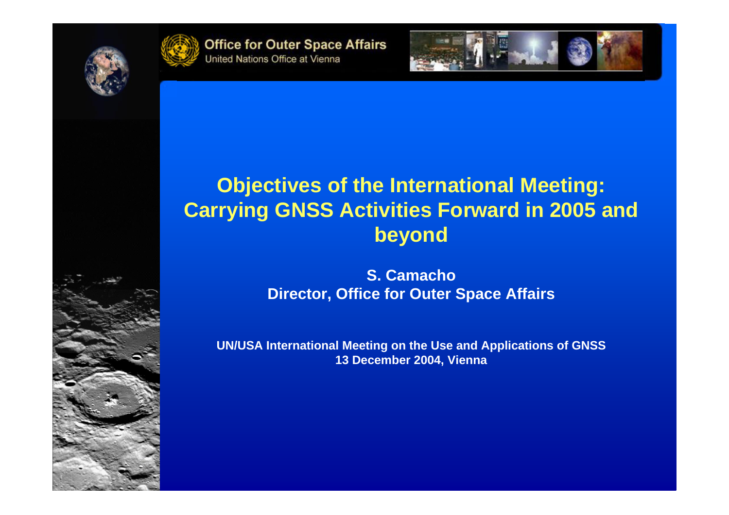



**Office for Outer Space Affairs** United Nations Office at Vienna



## **Objectives of the International Meeting: Carrying GNSS Activities Forward in 2005 and beyond**

**S. CamachoDirector, Office for Outer Space Affairs**

**UN/USA International Meeting on the Use and Applications of GNSS 13 December 2004, Vienna**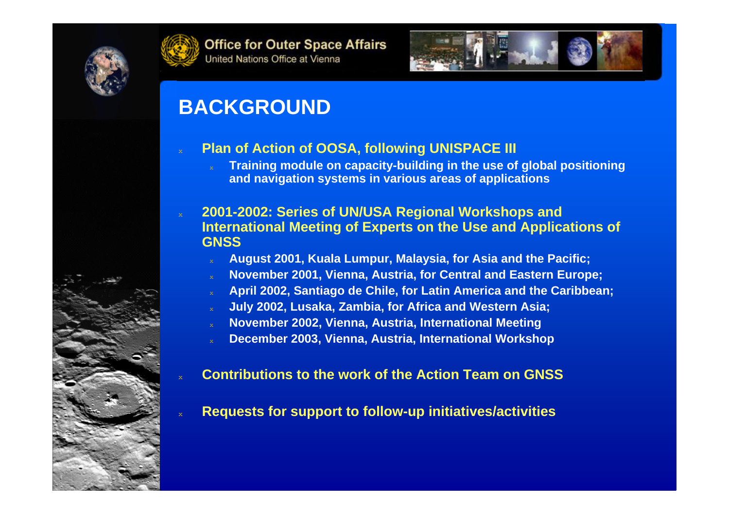





## **BACKGROUND**

 $\rm{X}$ 

 $\boldsymbol{\mathsf{x}}$ 

#### **Plan of Action of OOSA, following UNISPACE III**

 $\bf{x}$  **Training module on capacity-building in the use of global positioning and navigation systems in various areas of applications**

#### **2001-2002: Series of UN/USA Regional Workshops and International Meeting of Experts on the Use and Applications of GNSS**

- $^\mathrm{x}$ **August 2001, Kuala Lumpur, Malaysia, for Asia and the Pacific;**
- $\bf{x}$ **November 2001, Vienna, Austria, for Central and Eastern Europe;**
- ◆**April 2002, Santiago de Chile, for Latin America and the Caribbean;**
- $^\mathrm{x}$ **July 2002, Lusaka, Zambia, for Africa and Western Asia;**
- $\bf{x}$ **November 2002, Vienna, Austria, International Meeting**
- ◆**December 2003, Vienna, Austria, International Workshop**

#### $\rm x$ **Contributions to the work of the Action Team on GNSS**

 $^\mathrm{x}$ **Requests for support to follow-up initiatives/activities**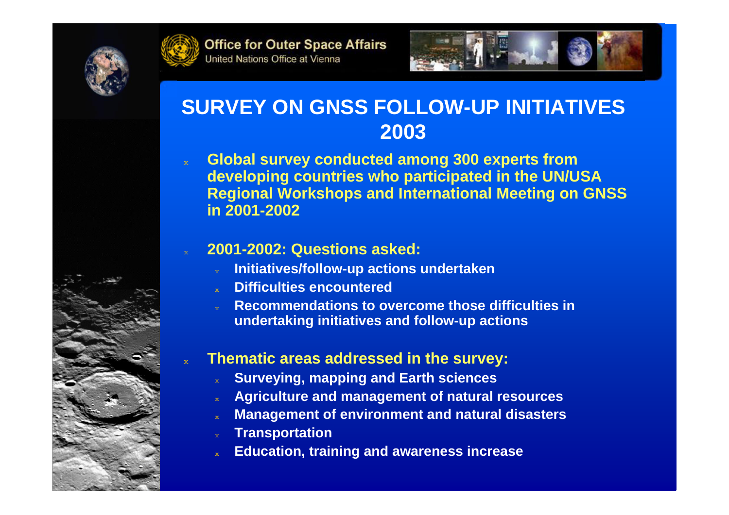



 $\bf{x}$ 

 $\bf{x}$ 



## **SURVEY ON GNSS FOLLOW-UP INITIATIVES 2003**

 $\bf{x}$  **Global survey conducted among 300 experts from developing countries who participated in the UN/USA Regional Workshops and International Meeting on GNSS in 2001-2002**

#### **2001-2002: Questions asked:**

- $\rm{X}$ **Initiatives/follow-up actions undertaken**
- $^\mathrm{x}$ **Difficulties encountered**
- $\bf{x}$  **Recommendations to overcome those difficulties in undertaking initiatives and follow-up actions**

## **Thematic areas addressed in the survey:**

- $^\mathrm{x}$ **Surveying, mapping and Earth sciences**
- $^\mathrm{x}$ **Agriculture and management of natural resources**
- $\rm x$ **Management of environment and natural disasters**
- $\mathbf{x}^{\left(1\right)}$ **Transportation**
- $^\mathrm{x}$ **Education, training and awareness increase**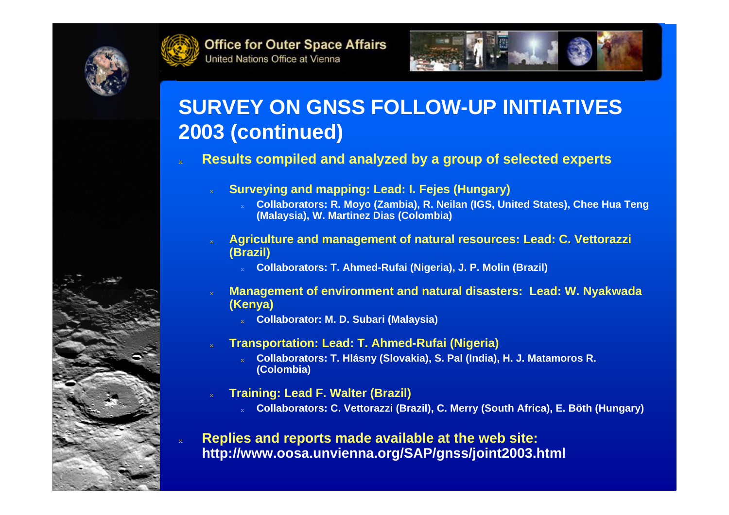



 $\bf{x}$ 

 $\bf{x}$ 

◆



## **SURVEY ON GNSS FOLLOW-UP INITIATIVES 2003 (continued)**

#### $\rm{X}$ **Results compiled and analyzed by a group of selected experts**

- $^\mathrm{x}$  **Surveying and mapping: Lead: I. Fejes (Hungary)**
	- **Collaborators: R. Moyo (Zambia), R. Neilan (IGS, United States), Chee Hua Teng (Malaysia), W. Martinez Dias (Colombia)**
- **Agriculture and management of natural resources: Lead: C. Vettorazzi (Brazil)**
	- **Collaborators: T. Ahmed-Rufai (Nigeria), J. P. Molin (Brazil)**
- **Management of environment and natural disasters: Lead: W. Nyakwada (Kenya)**
	- **Collaborator: M. D. Subari (Malaysia)**
- **Transportation: Lead: T. Ahmed-Rufai (Nigeria)**
	- **Collaborators: T. Hlásny (Slovakia), S. Pal (India), H. J. Matamoros R. (Colombia)**
- ◆ **Training: Lead F. Walter (Brazil)**
	- **Collaborators: C. Vettorazzi (Brazil), C. Merry (South Africa), E. Böth (Hungary)**
- $\rm x$  **Replies and reports made available at the web site: http://www.oosa.unvienna.org/SAP/gnss/joint2003.html**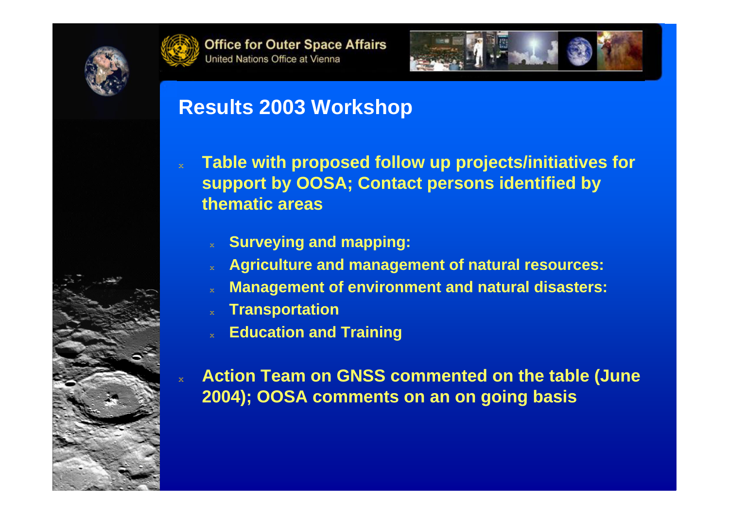

 $\rm X$ 

 $\bar{\mathbf{x}}$ 





# **Results 2003 Workshop**

- **Table with proposed follow up projects/initiatives for support by OOSA; Contact persons identified by thematic areas**
	- $\bf{x}$ **Surveying and mapping:**
	- $\rm{X}$ **Agriculture and management of natural resources:**
	- $\bf{x}$ **Management of environment and natural disasters:**
	- $\bf{x}$ **Transportation**
	- ◆**Education and Training**

 **Action Team on GNSS commented on the table (June 2004); OOSA comments on an on going basis**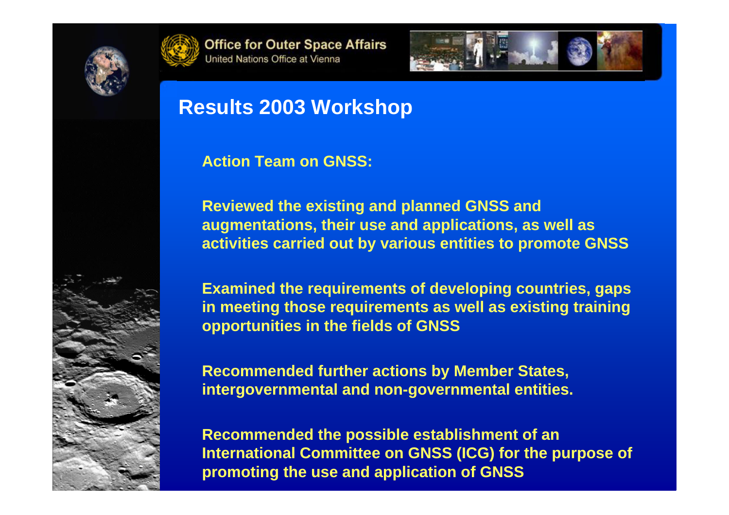

◆

◆





# **Results 2003 Workshop**

### **Action Team on GNSS:**

 **Reviewed the existing and planned GNSS and augmentations, their use and applications, as well as activities carried out by various entities to promote GNSS**

 **Examined the requirements of developing countries, gaps in meeting those requirements as well as existing training opportunities in the fields of GNSS**

 **Recommended further actions by Member States, intergovernmental and non-governmental entities.**

 **Recommended the possible establishment of an International Committee on GNSS (ICG) for the purpose of promoting the use and application of GNSS**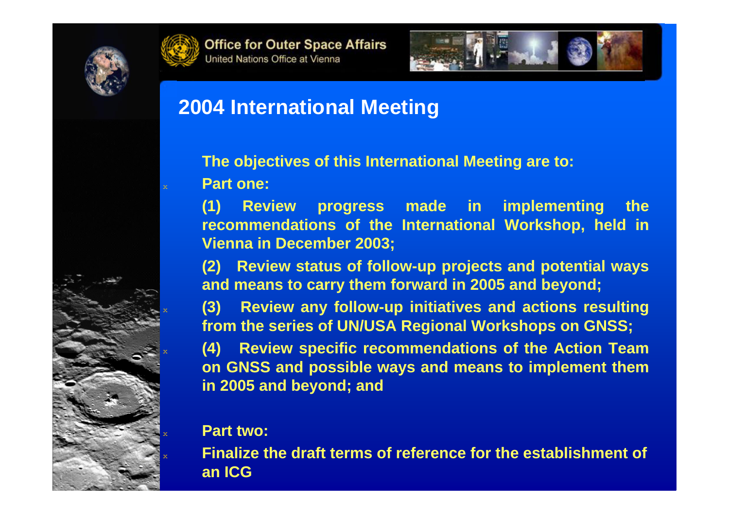

◆

 $\bf{x}$ 

 $\bf{x}$ 

 $\bf{x}$ 

 $\rm{X}$ 





## **2004 International Meeting**

**The objectives of this International Meeting are to: Part one:**

**(1) Review progress made in implementing the recommendations of the International Workshop, held in Vienna in December 2003;**

**(2) Review status of follow-up projects and potential ways and means to carry them forward in 2005 and beyond;**

 **(3) Review any follow-up initiatives and actions resulting from the series of UN/USA Regional Workshops on GNSS;**

 **(4) Review specific recommendations of the Action Team on GNSS and possible ways and means to implement them in 2005 and beyond; and**

#### **Part two:**

 **Finalize the draft terms of reference for the establishment of an ICG**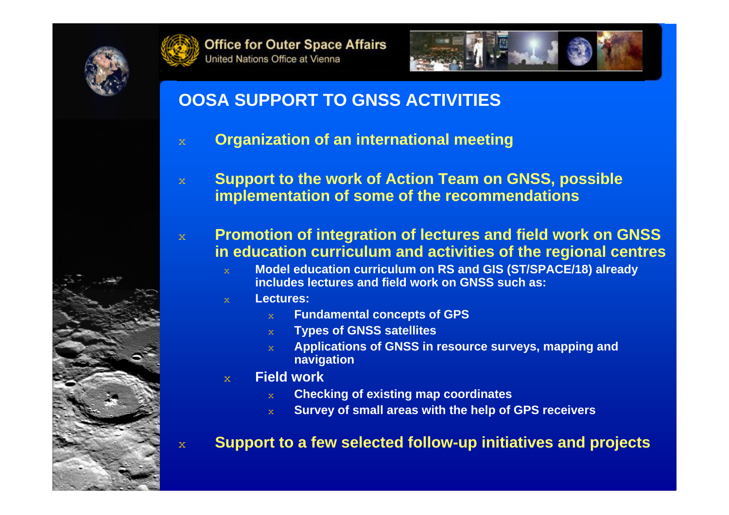





## **OOSA SUPPORT TO GNSS ACTIVITIES**

- $\bar{\mathbf{x}}$ **Organization of an international meeting**
- $\bar{\mathbf{x}}$  **Support to the work of Action Team on GNSS, possible implementation of some of the recommendations**
- $\mathbf{x}$  **Promotion of integration of lectures and field work on GNSS in education curriculum and activities of the regional centres**
	- **Model education curriculum on RS and GIS (ST/SPACE/18) already includes lectures and field work on GNSS such as:**
	- **Lectures:**
		- **Fundamental concepts of GPS**
		- $\mathbf{x}^{\top}$ **Types of GNSS satellites**
		- $\mathbf{x}$  **Applications of GNSS in resource surveys, mapping and navigation**
	- $\mathbf{x}$  **Field work**
		- $\infty$ **Checking of existing map coordinates**
		- $\mathbf{x}^{\top}$ **Survey of small areas with the help of GPS receivers**

#### **Support to a few selected follow-up initiatives and projects**

 $\bar{\mathbf{x}}$